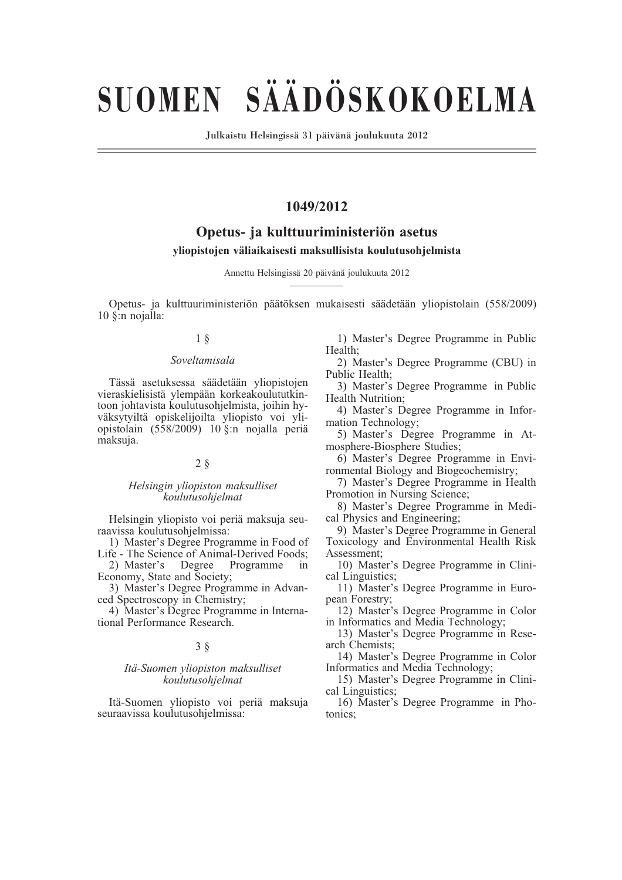# **SUOMEN SÄÄDÖSKOKOELMA**

Julkaistu Helsingissä 31 päivänä joulukuuta 2012

# **1049/2012**

# **Opetus- ja kulttuuriministeriön asetus**

#### **yliopistojen väliaikaisesti maksullisista koulutusohjelmista**

Annettu Helsingissä 20 päivänä joulukuuta 2012

Opetus- ja kulttuuriministeriön päätöksen mukaisesti säädetään yliopistolain (558/2009)  $10$   $\sin$  noialla:

#### 1 §

#### *Soveltamisala*

Tässä asetuksessa säädetään yliopistojen vieraskielisistä ylempään korkeakoulututkintoon johtavista koulutusohjelmista, joihin hyväksytyiltä opiskelijoilta yliopisto voi yliopistolain (558/2009) 10 §:n nojalla periä maksuja.

#### 2 §

#### *Helsingin yliopiston maksulliset koulutusohjelmat*

Helsingin yliopisto voi periä maksuja seuraavissa koulutusohjelmissa:

1) Master's Degree Programme in Food of Life - The Science of Animal-Derived Foods;

2) Master's Degree Programme in Economy, State and Society;

3) Master's Degree Programme in Advanced Spectroscopy in Chemistry;

4) Master's Degree Programme in International Performance Research.

#### 3 §

#### *Itä-Suomen yliopiston maksulliset koulutusohjelmat*

Itä-Suomen yliopisto voi periä maksuja seuraavissa koulutusohjelmissa:

1) Master's Degree Programme in Public Health;

2) Master's Degree Programme (CBU) in Public Health;

3) Master's Degree Programme in Public Health Nutrition;

4) Master's Degree Programme in Information Technology;

5) Master's Degree Programme in Atmosphere-Biosphere Studies;

6) Master's Degree Programme in Environmental Biology and Biogeochemistry;

7) Master's Degree Programme in Health Promotion in Nursing Science;

8) Master's Degree Programme in Medical Physics and Engineering;

9) Master's Degree Programme in General Toxicology and Environmental Health Risk Assessment;

10) Master's Degree Programme in Clinical Linguistics;

11) Master's Degree Programme in European Forestry;

12) Master's Degree Programme in Color in Informatics and Media Technology;

13) Master's Degree Programme in Research Chemists;

14) Master's Degree Programme in Color Informatics and Media Technology;

15) Master's Degree Programme in Clinical Linguistics;

16) Master's Degree Programme in Photonics;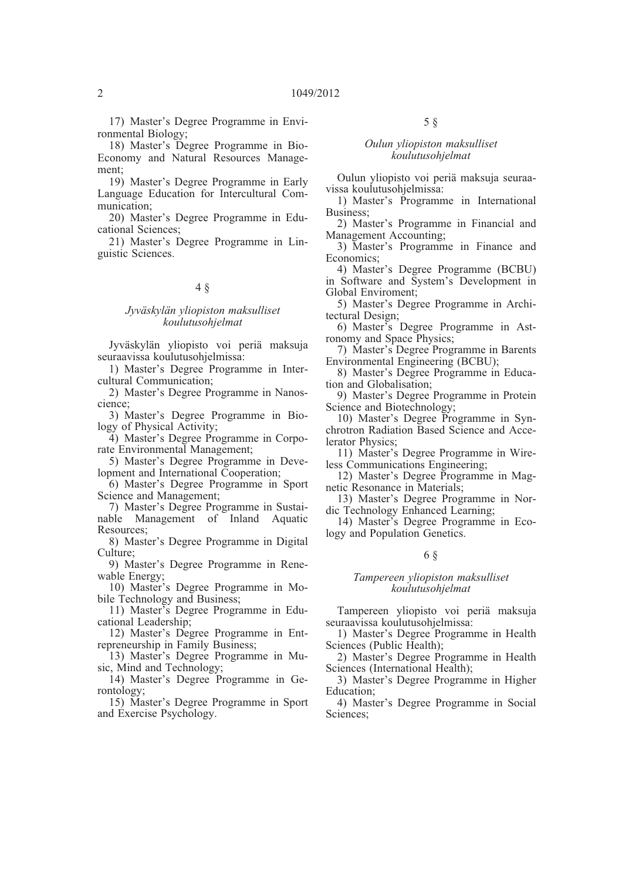17) Master's Degree Programme in Environmental Biology;

18) Master's Degree Programme in Bio-Economy and Natural Resources Management;

19) Master's Degree Programme in Early Language Education for Intercultural Communication;

20) Master's Degree Programme in Educational Sciences;

21) Master's Degree Programme in Linguistic Sciences.

## 4 §

#### *Jyväskylän yliopiston maksulliset koulutusohjelmat*

Jyväskylän yliopisto voi periä maksuja seuraavissa koulutusohjelmissa:

1) Master's Degree Programme in Intercultural Communication;

2) Master's Degree Programme in Nanoscience;

3) Master's Degree Programme in Biology of Physical Activity;

4) Master's Degree Programme in Corporate Environmental Management;

5) Master's Degree Programme in Development and International Cooperation;

6) Master's Degree Programme in Sport Science and Management;

7) Master's Degree Programme in Sustainable Management of Inland Aquatic Resources;

8) Master's Degree Programme in Digital Culture;

9) Master's Degree Programme in Renewable Energy;

10) Master's Degree Programme in Mobile Technology and Business;

11) Master's Degree Programme in Educational Leadership;

12) Master's Degree Programme in Entrepreneurship in Family Business;

13) Master's Degree Programme in Music, Mind and Technology;

14) Master's Degree Programme in Gerontology;

15) Master's Degree Programme in Sport and Exercise Psychology.

## 5 §

#### *Oulun yliopiston maksulliset koulutusohjelmat*

Oulun yliopisto voi periä maksuja seuraavissa koulutusohjelmissa:

1) Master's Programme in International Business;

2) Master's Programme in Financial and Management Accounting;

3) Master's Programme in Finance and Economics;

4) Master's Degree Programme (BCBU) in Software and System's Development in Global Enviroment;

5) Master's Degree Programme in Architectural Design;

6) Master's Degree Programme in Astronomy and Space Physics;

7) Master's Degree Programme in Barents Environmental Engineering (BCBU);

8) Master's Degree Programme in Education and Globalisation;

9) Master's Degree Programme in Protein Science and Biotechnology;

10) Master's Degree Programme in Synchrotron Radiation Based Science and Accelerator Physics;

11) Master's Degree Programme in Wireless Communications Engineering;

12) Master's Degree Programme in Magnetic Resonance in Materials;

13) Master's Degree Programme in Nordic Technology Enhanced Learning;

14) Master's Degree Programme in Ecology and Population Genetics.

#### 6 §

#### *Tampereen yliopiston maksulliset koulutusohjelmat*

Tampereen yliopisto voi periä maksuja seuraavissa koulutusohjelmissa:

1) Master's Degree Programme in Health Sciences (Public Health);

2) Master's Degree Programme in Health Sciences (International Health);

3) Master's Degree Programme in Higher Education;

4) Master's Degree Programme in Social Sciences;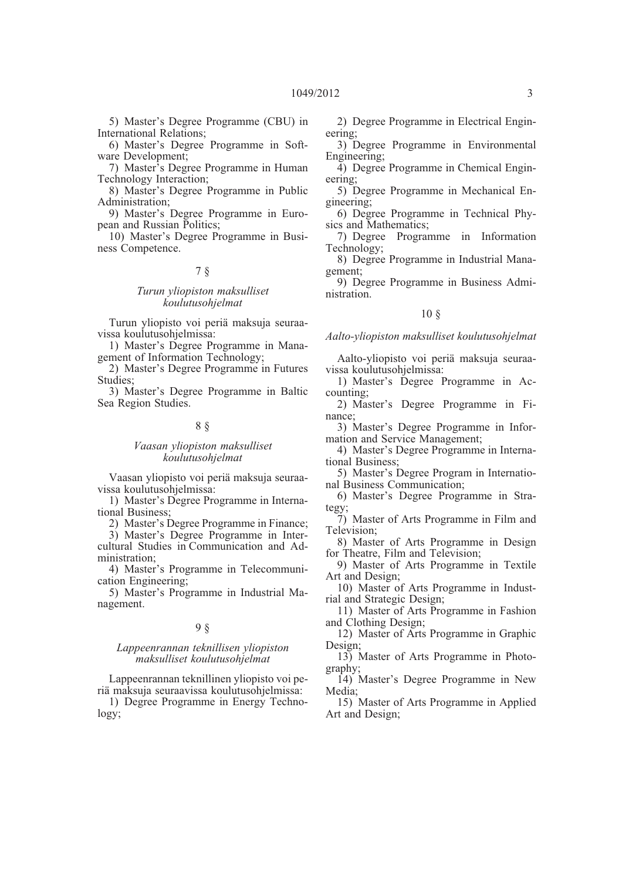5) Master's Degree Programme (CBU) in International Relations;

6) Master's Degree Programme in Software Development;

7) Master's Degree Programme in Human Technology Interaction;

8) Master's Degree Programme in Public Administration;

9) Master's Degree Programme in European and Russian Politics;

10) Master's Degree Programme in Business Competence.

#### 7 §

#### *Turun yliopiston maksulliset koulutusohjelmat*

Turun yliopisto voi periä maksuja seuraavissa koulutusohjelmissa:

1) Master's Degree Programme in Management of Information Technology;

2) Master's Degree Programme in Futures Studies;

3) Master's Degree Programme in Baltic Sea Region Studies.

## 8 §

#### *Vaasan yliopiston maksulliset koulutusohjelmat*

Vaasan yliopisto voi periä maksuja seuraavissa koulutusohjelmissa:

1) Master's Degree Programme in International Business;

2) Master's Degree Programme in Finance;

3) Master's Degree Programme in Intercultural Studies in Communication and Administration;

4) Master's Programme in Telecommunication Engineering;

5) Master's Programme in Industrial Management.

#### 9 §

#### *Lappeenrannan teknillisen yliopiston maksulliset koulutusohjelmat*

Lappeenrannan teknillinen yliopisto voi periä maksuja seuraavissa koulutusohjelmissa:

1) Degree Programme in Energy Technology;

2) Degree Programme in Electrical Engineering;

3) Degree Programme in Environmental Engineering;

4) Degree Programme in Chemical Engineering;

- 5) Degree Programme in Mechanical Engineering;
- 6) Degree Programme in Technical Physics and Mathematics;
- 7) Degree Programme in Information Technology;
- 8) Degree Programme in Industrial Management;
- 9) Degree Programme in Business Administration.

#### 10 §

#### *Aalto-yliopiston maksulliset koulutusohjelmat*

Aalto-yliopisto voi periä maksuja seuraavissa koulutusohjelmissa:

- 1) Master's Degree Programme in Accounting;
- 2) Master's Degree Programme in Finance;

3) Master's Degree Programme in Information and Service Management;

4) Master's Degree Programme in International Business;

5) Master's Degree Program in International Business Communication;

6) Master's Degree Programme in Strategy;

7) Master of Arts Programme in Film and Television;

8) Master of Arts Programme in Design for Theatre, Film and Television;

9) Master of Arts Programme in Textile Art and Design;

10) Master of Arts Programme in Industrial and Strategic Design;

11) Master of Arts Programme in Fashion and Clothing Design;

12) Master of Arts Programme in Graphic Design;

13) Master of Arts Programme in Photography;

14) Master's Degree Programme in New Media;

15) Master of Arts Programme in Applied Art and Design;